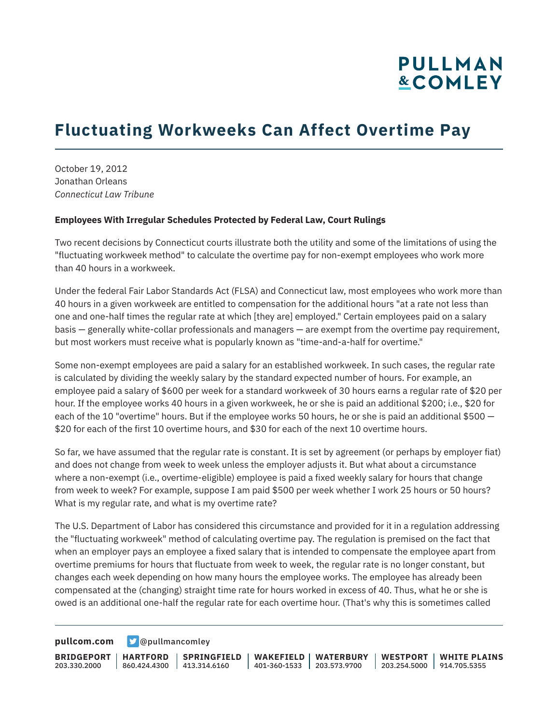## **Fluctuating Workweeks Can Affect Overtime Pay**

October 19, 2012 Jonathan Orleans *Connecticut Law Tribune*

#### **Employees With Irregular Schedules Protected by Federal Law, Court Rulings**

Two recent decisions by Connecticut courts illustrate both the utility and some of the limitations of using the "fluctuating workweek method" to calculate the overtime pay for non-exempt employees who work more than 40 hours in a workweek.

Under the federal Fair Labor Standards Act (FLSA) and Connecticut law, most employees who work more than 40 hours in a given workweek are entitled to compensation for the additional hours "at a rate not less than one and one-half times the regular rate at which [they are] employed." Certain employees paid on a salary basis — generally white-collar professionals and managers — are exempt from the overtime pay requirement, but most workers must receive what is popularly known as "time-and-a-half for overtime."

Some non-exempt employees are paid a salary for an established workweek. In such cases, the regular rate is calculated by dividing the weekly salary by the standard expected number of hours. For example, an employee paid a salary of \$600 per week for a standard workweek of 30 hours earns a regular rate of \$20 per hour. If the employee works 40 hours in a given workweek, he or she is paid an additional \$200; i.e., \$20 for each of the 10 "overtime" hours. But if the employee works 50 hours, he or she is paid an additional \$500 — \$20 for each of the first 10 overtime hours, and \$30 for each of the next 10 overtime hours.

So far, we have assumed that the regular rate is constant. It is set by agreement (or perhaps by employer fiat) and does not change from week to week unless the employer adjusts it. But what about a circumstance where a non-exempt (i.e., overtime-eligible) employee is paid a fixed weekly salary for hours that change from week to week? For example, suppose I am paid \$500 per week whether I work 25 hours or 50 hours? What is my regular rate, and what is my overtime rate?

The U.S. Department of Labor has considered this circumstance and provided for it in a regulation addressing the "fluctuating workweek" method of calculating overtime pay. The regulation is premised on the fact that when an employer pays an employee a fixed salary that is intended to compensate the employee apart from overtime premiums for hours that fluctuate from week to week, the regular rate is no longer constant, but changes each week depending on how many hours the employee works. The employee has already been compensated at the (changing) straight time rate for hours worked in excess of 40. Thus, what he or she is owed is an additional one-half the regular rate for each overtime hour. (That's why this is sometimes called

**[pullcom.com](https://www.pullcom.com) g** [@pullmancomley](https://twitter.com/PullmanComley)

**BRIDGEPORT** 203.330.2000

**HARTFORD** 860.424.4300 413.314.6160

**SPRINGFIELD**

**WAKEFIELD WATERBURY** 401-360-1533 203.573.9700

**WESTPORT WHITE PLAINS** 203.254.5000 914.705.5355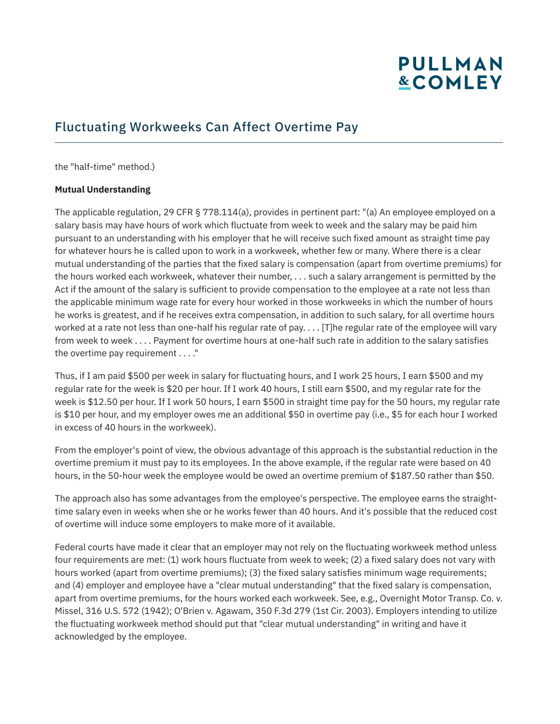### Fluctuating Workweeks Can Affect Overtime Pay

the "half-time" method.)

#### **Mutual Understanding**

The applicable regulation, 29 CFR § 778.114(a), provides in pertinent part: "(a) An employee employed on a salary basis may have hours of work which fluctuate from week to week and the salary may be paid him pursuant to an understanding with his employer that he will receive such fixed amount as straight time pay for whatever hours he is called upon to work in a workweek, whether few or many. Where there is a clear mutual understanding of the parties that the fixed salary is compensation (apart from overtime premiums) for the hours worked each workweek, whatever their number, . . . such a salary arrangement is permitted by the Act if the amount of the salary is sufficient to provide compensation to the employee at a rate not less than the applicable minimum wage rate for every hour worked in those workweeks in which the number of hours he works is greatest, and if he receives extra compensation, in addition to such salary, for all overtime hours worked at a rate not less than one-half his regular rate of pay. . . . [T]he regular rate of the employee will vary from week to week . . . . Payment for overtime hours at one-half such rate in addition to the salary satisfies the overtime pay requirement . . . ."

Thus, if I am paid \$500 per week in salary for fluctuating hours, and I work 25 hours, I earn \$500 and my regular rate for the week is \$20 per hour. If I work 40 hours, I still earn \$500, and my regular rate for the week is \$12.50 per hour. If I work 50 hours, I earn \$500 in straight time pay for the 50 hours, my regular rate is \$10 per hour, and my employer owes me an additional \$50 in overtime pay (i.e., \$5 for each hour I worked in excess of 40 hours in the workweek).

From the employer's point of view, the obvious advantage of this approach is the substantial reduction in the overtime premium it must pay to its employees. In the above example, if the regular rate were based on 40 hours, in the 50-hour week the employee would be owed an overtime premium of \$187.50 rather than \$50.

The approach also has some advantages from the employee's perspective. The employee earns the straighttime salary even in weeks when she or he works fewer than 40 hours. And it's possible that the reduced cost of overtime will induce some employers to make more of it available.

Federal courts have made it clear that an employer may not rely on the fluctuating workweek method unless four requirements are met: (1) work hours fluctuate from week to week; (2) a fixed salary does not vary with hours worked (apart from overtime premiums); (3) the fixed salary satisfies minimum wage requirements; and (4) employer and employee have a "clear mutual understanding" that the fixed salary is compensation, apart from overtime premiums, for the hours worked each workweek. See, e.g., Overnight Motor Transp. Co. v. Missel, 316 U.S. 572 (1942); O'Brien v. Agawam, 350 F.3d 279 (1st Cir. 2003). Employers intending to utilize the fluctuating workweek method should put that "clear mutual understanding" in writing and have it acknowledged by the employee.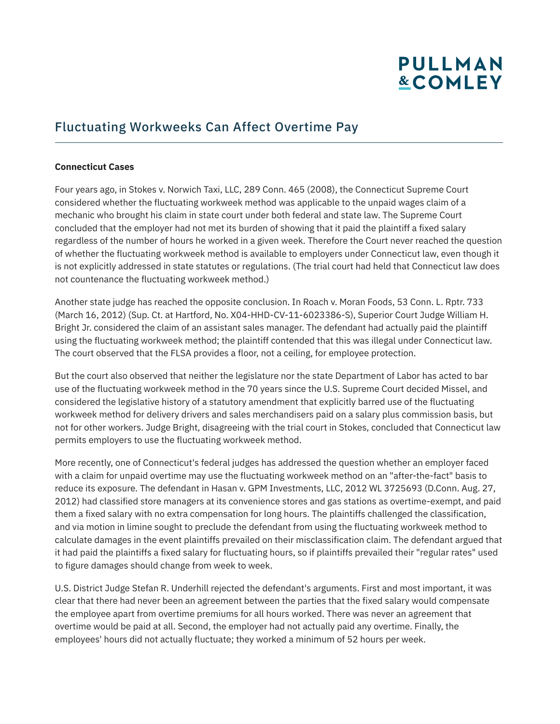### Fluctuating Workweeks Can Affect Overtime Pay

#### **Connecticut Cases**

Four years ago, in Stokes v. Norwich Taxi, LLC, 289 Conn. 465 (2008), the Connecticut Supreme Court considered whether the fluctuating workweek method was applicable to the unpaid wages claim of a mechanic who brought his claim in state court under both federal and state law. The Supreme Court concluded that the employer had not met its burden of showing that it paid the plaintiff a fixed salary regardless of the number of hours he worked in a given week. Therefore the Court never reached the question of whether the fluctuating workweek method is available to employers under Connecticut law, even though it is not explicitly addressed in state statutes or regulations. (The trial court had held that Connecticut law does not countenance the fluctuating workweek method.)

Another state judge has reached the opposite conclusion. In Roach v. Moran Foods, 53 Conn. L. Rptr. 733 (March 16, 2012) (Sup. Ct. at Hartford, No. X04-HHD-CV-11-6023386-S), Superior Court Judge William H. Bright Jr. considered the claim of an assistant sales manager. The defendant had actually paid the plaintiff using the fluctuating workweek method; the plaintiff contended that this was illegal under Connecticut law. The court observed that the FLSA provides a floor, not a ceiling, for employee protection.

But the court also observed that neither the legislature nor the state Department of Labor has acted to bar use of the fluctuating workweek method in the 70 years since the U.S. Supreme Court decided Missel, and considered the legislative history of a statutory amendment that explicitly barred use of the fluctuating workweek method for delivery drivers and sales merchandisers paid on a salary plus commission basis, but not for other workers. Judge Bright, disagreeing with the trial court in Stokes, concluded that Connecticut law permits employers to use the fluctuating workweek method.

More recently, one of Connecticut's federal judges has addressed the question whether an employer faced with a claim for unpaid overtime may use the fluctuating workweek method on an "after-the-fact" basis to reduce its exposure. The defendant in Hasan v. GPM Investments, LLC, 2012 WL 3725693 (D.Conn. Aug. 27, 2012) had classified store managers at its convenience stores and gas stations as overtime-exempt, and paid them a fixed salary with no extra compensation for long hours. The plaintiffs challenged the classification, and via motion in limine sought to preclude the defendant from using the fluctuating workweek method to calculate damages in the event plaintiffs prevailed on their misclassification claim. The defendant argued that it had paid the plaintiffs a fixed salary for fluctuating hours, so if plaintiffs prevailed their "regular rates" used to figure damages should change from week to week.

U.S. District Judge Stefan R. Underhill rejected the defendant's arguments. First and most important, it was clear that there had never been an agreement between the parties that the fixed salary would compensate the employee apart from overtime premiums for all hours worked. There was never an agreement that overtime would be paid at all. Second, the employer had not actually paid any overtime. Finally, the employees' hours did not actually fluctuate; they worked a minimum of 52 hours per week.